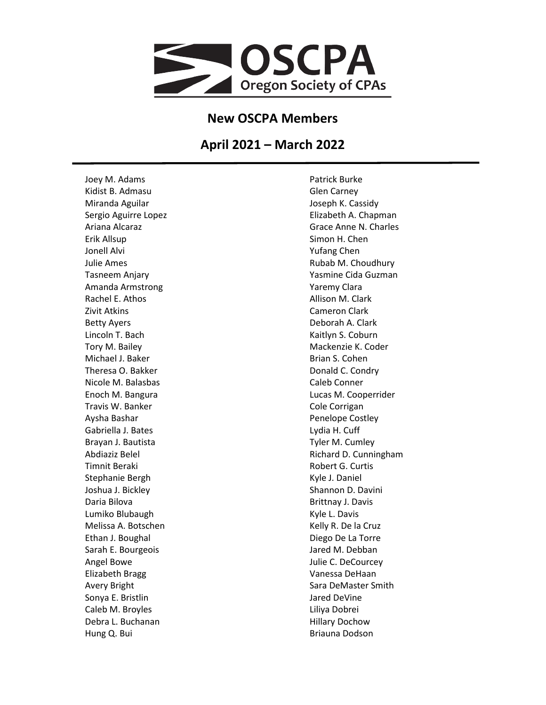

## **New OSCPA Members**

## **April 2021 – March 2022**

Joey M. Adams Kidist B. Admasu Miranda Aguilar Sergio Aguirre Lopez Ariana Alcaraz Erik Allsup Jonell Alvi Julie Ames Tasneem Anjary Amanda Armstrong Rachel E. Athos Zivit Atkins Betty Ayers Lincoln T. Bach Tory M. Bailey Michael J. Baker Theresa O. Bakker Nicole M. Balasbas Enoch M. Bangura Travis W. Banker Aysha Bashar Gabriella J. Bates Brayan J. Bautista Abdiaziz Belel Timnit Beraki Stephanie Bergh Joshua J. Bickley Daria Bilova Lumiko Blubaugh Melissa A. Botschen Ethan J. Boughal Sarah E. Bourgeois Angel Bowe Elizabeth Bragg Avery Bright Sonya E. Bristlin Caleb M. Broyles Debra L. Buchanan Hung Q. Bui

Patrick Burke Glen Carney Joseph K. Cassidy Elizabeth A. Chapman Grace Anne N. Charles Simon H. Chen Yufang Chen Rubab M. Choudhury Yasmine Cida Guzman Yaremy Clara Allison M. Clark Cameron Clark Deborah A. Clark Kaitlyn S. Coburn Mackenzie K. Coder Brian S. Cohen Donald C. Condry Caleb Conner Lucas M. Cooperrider Cole Corrigan Penelope Costley Lydia H. Cuff Tyler M. Cumley Richard D. Cunningham Robert G. Curtis Kyle J. Daniel Shannon D. Davini Brittnay J. Davis Kyle L. Davis Kelly R. De la Cruz Diego De La Torre Jared M. Debban Julie C. DeCourcey Vanessa DeHaan Sara DeMaster Smith Jared DeVine Liliya Dobrei Hillary Dochow Briauna Dodson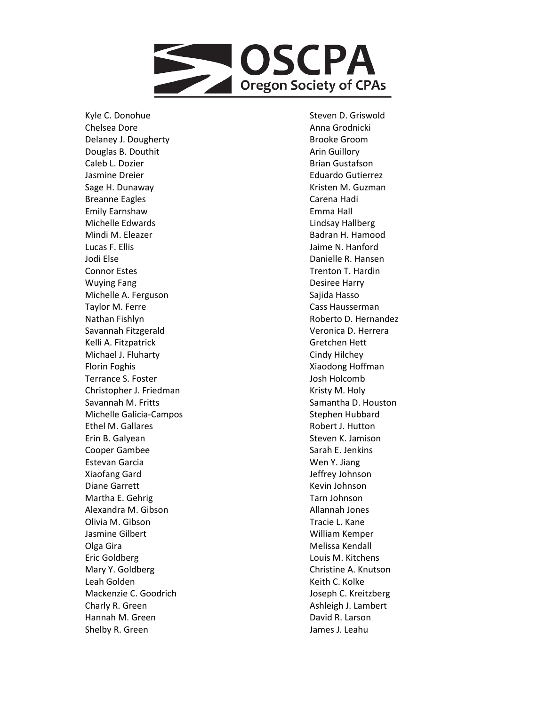

Kyle C. Donohue Chelsea Dore Delaney J. Dougherty Douglas B. Douthit Caleb L. Dozier Jasmine Dreier Sage H. Dunaway Breanne Eagles Emily Earnshaw Michelle Edwards Mindi M. Eleazer Lucas F. Ellis Jodi Else Connor Estes Wuying Fang Michelle A. Ferguson Taylor M. Ferre Nathan Fishlyn Savannah Fitzgerald Kelli A. Fitzpatrick Michael J. Fluharty Florin Foghis Terrance S. Foster Christopher J. Friedman Savannah M. Fritts Michelle Galicia -Campos Ethel M. Gallares Erin B. Galyean Cooper Gambee Estevan Garcia Xiaofang Gard Diane Garrett Martha E. Gehrig Alexandra M. Gibson Olivia M. Gibson Jasmine Gilbert Olga Gira Eric Goldberg Mary Y. Goldberg Leah Golden Mackenzie C. Goodrich Charly R. Green Hannah M. Green Shelby R. Green

Steven D. Griswold Anna Grodnicki Brooke Groom Arin Guillory Brian Gustafson Eduardo Gutierrez Kristen M. Guzman Carena Hadi Emma Hall Lindsay Hallberg Badran H. Hamood Jaime N. Hanford Danielle R. Hansen Trenton T. Hardin Desiree Harry Sajida Hasso Cass Hausserman Roberto D. Hernandez Veronica D. Herrera Gretchen Hett Cindy Hilchey Xiaodong Hoffman Josh Holcomb Kristy M. Holy Samantha D. Houston Stephen Hubbard Robert J. Hutton Steven K. Jamison Sarah E. Jenkins Wen Y. Jiang Jeffrey Johnson Kevin Johnson Tarn Johnson Allannah Jones Tracie L. Kane William Kemper Melissa Kendall Louis M. Kitchens Christine A. Knutson Keith C. Kolke Joseph C. Kreitzberg Ashleigh J. Lambert David R. Larson James J. Leahu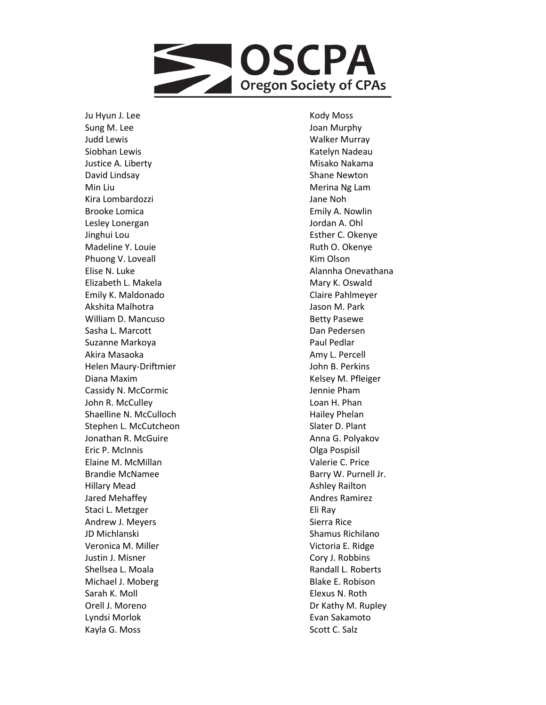

Ju Hyun J. Lee Sung M. Lee Judd Lewis Siobhan Lewis Justice A. Liberty David Lindsay Min Liu Kira Lombardozzi Brooke Lomica Lesley Lonergan Jinghui Lou Madeline Y. Louie Phuong V. Loveall Elise N. Luke Elizabeth L. Makela Emily K. Maldonado Akshita Malhotra William D. Mancuso Sasha L. Marcott Suzanne Markoya Akira Masaoka Helen Maury -Driftmier Diana Maxim Cassidy N. McCormic John R. McCulley Shaelline N. McCulloch Stephen L. McCutcheon Jonathan R. McGuir e Eric P. McInnis Elaine M. McMillan Brandie McNamee Hillary Mead Jared Mehaffey Staci L. Metzger Andrew J. Meyers JD Michlanski Veronica M. Miller Justin J. Misner Shellsea L. Moala Michael J. Moberg Sarah K. Moll Orell J. Moreno Lyndsi Morlok Kayla G. Moss

Kody Moss Joan Murphy Walker Murray Katelyn Nadeau Misako Nakama Shane Newton Merina Ng Lam Jane Noh Emily A. Nowlin Jordan A. Ohl Esther C. Okenye Ruth O. Okenye Kim Olson Alannha Onevathana Mary K. Oswald Claire Pahlmeyer Jason M. Park Betty Pasewe Dan Pedersen Paul Pedlar Amy L. Percell John B. Perkins Kelsey M. Pfleiger Jennie Pham Loan H. Phan Hailey Phelan Slater D. Plant Anna G. Polyakov Olga Pospisil Valerie C. Price Barry W. Purnell Jr. Ashley Railton Andres Ramirez Eli Ray Sierra Rice Shamus Richilano Victoria E. Ridge Cory J. Robbins Randall L. Roberts Blake E. Robison Elexus N. Roth Dr Kathy M. Rupley Evan Sakamoto Scott C. Salz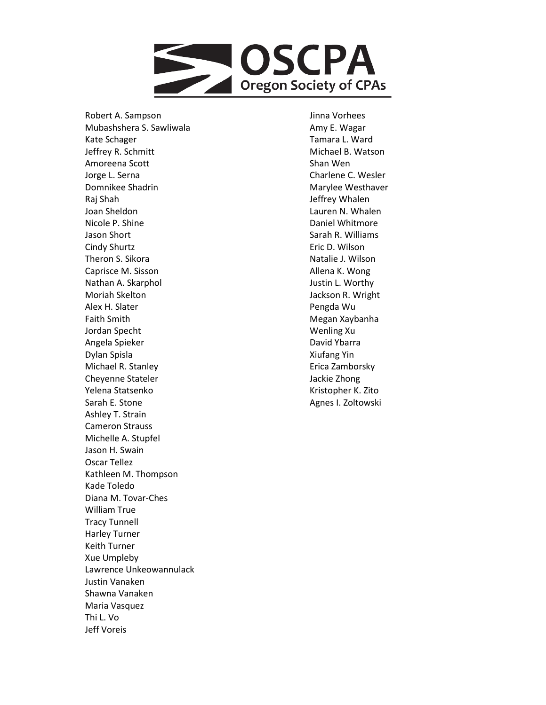

Robert A. Sampson Mubashshera S. Sawliwala Kate Schager Jeffrey R. Schmitt Amoreena Scott Jorge L. Serna Domnikee Shadrin Raj Shah Joan Sheldon Nicole P. Shine Jason Short Cindy Shurtz Theron S. Sikora Caprisce M. Sisson Nathan A. Skarphol Moriah Skelton Alex H. Slater Faith Smith Jordan Specht Angela Spieker Dylan Spisla Michael R. Stanley Cheyenne Stateler Yelena Statsenko Sarah E. Stone Ashley T. Strain Cameron Strauss Michelle A. Stupfel Jason H. Swain Oscar Tellez Kathleen M. Thompson Kade Toledo Diana M. Tovar -Ches William True Tracy Tunnell Harley Turner Keith Turner Xue Umpleby Lawrence Unkeowannulack Justin Vanaken Shawna Vanaken Maria Vasquez Thi L. Vo Jeff Voreis

Jinna Vorhees Amy E. Wagar Tamara L. Ward Michael B. Watson Shan Wen Charlene C. Wesler Marylee Westhaver Jeffrey Whalen Lauren N. Whalen Daniel Whitmore Sarah R. Williams Eric D. Wilson Natalie J. Wilson Allena K. Wong Justin L. Worthy Jackson R. Wright Pengda Wu Megan Xaybanha Wenling Xu David Ybarra Xiufang Yin Erica Zamborsky Jackie Zhong Kristopher K. Zito Agnes I. Zoltowski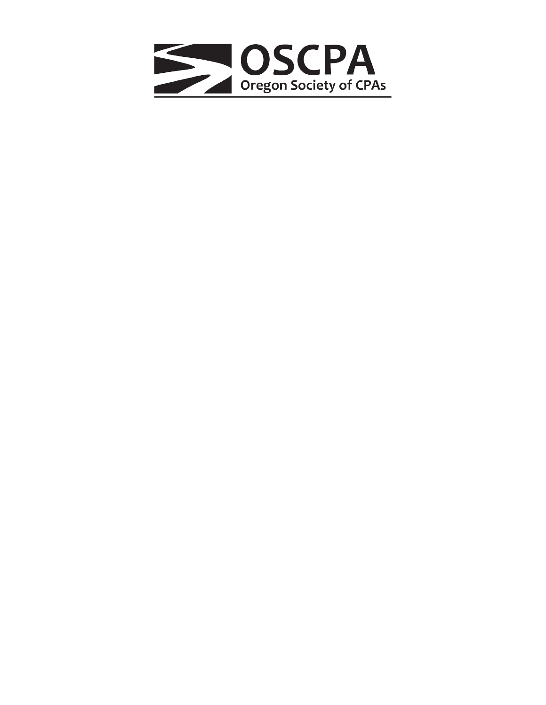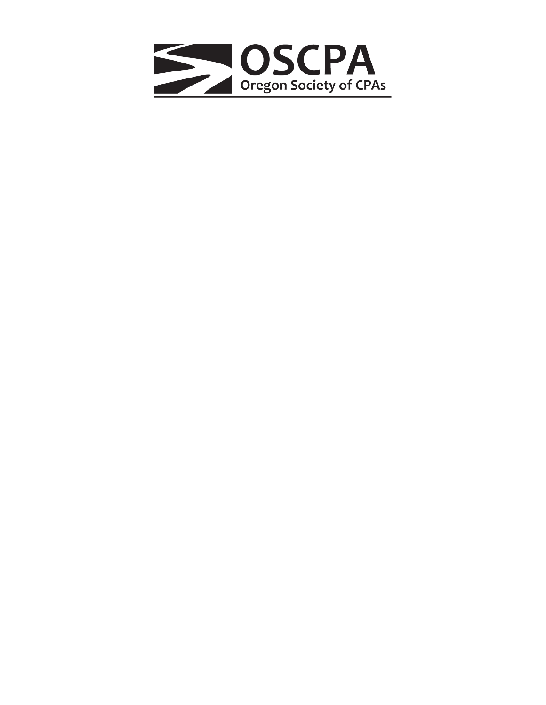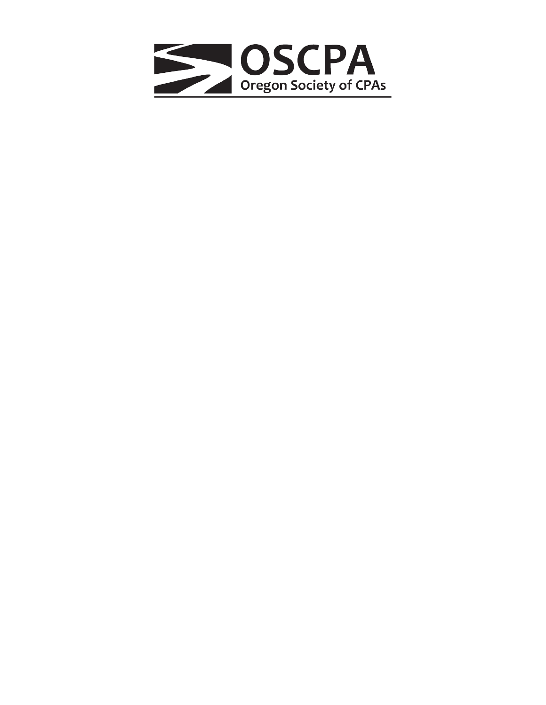